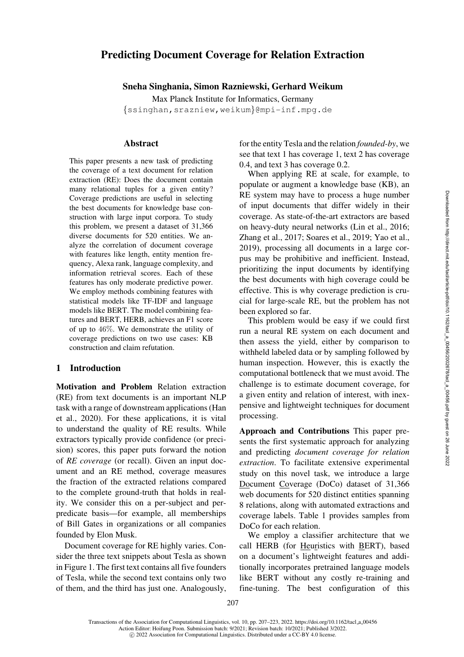# Predicting Document Coverage for Relation Extraction

Sneha Singhania, Simon Razniewski, Gerhard Weikum

Max Planck Institute for Informatics, Germany {[ssinghan](mailto:ssinghan@mpi-inf.mpg.de)[,srazniew](mailto:srazniew@mpi-inf.mpg.de)[,weikum](mailto:weikum@mpi-inf.mpg.de)}@mpi-inf.mpg.de

### Abstract

This paper presents a new task of predicting the coverage of a text document for relation extraction (RE): Does the document contain many relational tuples for a given entity? Coverage predictions are useful in selecting the best documents for knowledge base construction with large input corpora. To study this problem, we present a dataset of 31,366 diverse documents for 520 entities. We analyze the correlation of document coverage with features like length, entity mention frequency, Alexa rank, language complexity, and information retrieval scores. Each of these features has only moderate predictive power. We employ methods combining features with statistical models like TF-IDF and language models like BERT. The model combining features and BERT, HERB, achieves an F1 score of up to 46%. We demonstrate the utility of coverage predictions on two use cases: KB construction and claim refutation.

## 1 Introduction

Motivation and Problem Relation extraction (RE) from text documents is an important NLP task with a range of downstream applications [\(Han](#page-13-0) [et al.,](#page-13-0) [2020\)](#page-13-1). For these applications, it is vital to understand the quality of RE results. While extractors typically provide confidence (or precision) scores, this paper puts forward the notion of *RE coverage* (or recall). Given an input document and an RE method, coverage measures the fraction of the extracted relations compared to the complete ground-truth that holds in reality. We consider this on a per-subject and perpredicate basis—for example, all memberships of Bill Gates in organizations or all companies founded by Elon Musk.

Document coverage for RE highly varies. Consider the three text snippets about Tesla as shown in Figure [1.](#page-1-0) The first text contains all five founders of Tesla, while the second text contains only two of them, and the third has just one. Analogously, for the entity Tesla and the relation *founded-by*, we see that text 1 has coverage 1, text 2 has coverage 0.4, and text 3 has coverage 0.2.

When applying RE at scale, for example, to populate or augment a knowledge base (KB), an RE system may have to process a huge number of input documents that differ widely in their coverage. As state-of-the-art extractors are based on heavy-duty neural networks [\(Lin et al.](#page-14-0), [2016](#page-14-0); [Zhang et al., 2017](#page-16-0); [Soares et al., 2019](#page-15-0); [Yao et al.,](#page-15-1) [2019](#page-15-1)), processing all documents in a large corpus may be prohibitive and inefficient. Instead, prioritizing the input documents by identifying the best documents with high coverage could be effective. This is why coverage prediction is crucial for large-scale RE, but the problem has not been explored so far.

This problem would be easy if we could first run a neural RE system on each document and then assess the yield, either by comparison to withheld labeled data or by sampling followed by human inspection. However, this is exactly the computational bottleneck that we must avoid. The challenge is to estimate document coverage, for a given entity and relation of interest, with inexpensive and lightweight techniques for document processing.

Approach and Contributions This paper presents the first systematic approach for analyzing and predicting *document coverage for relation extraction*. To facilitate extensive experimental study on this novel task, we introduce a large Document Coverage (DoCo) dataset of 31,366 web documents for 520 distinct entities spanning 8 relations, along with automated extractions and coverage labels. Table [1](#page-2-0) provides samples from DoCo for each relation.

We employ a classifier architecture that we call HERB (for Heuristics with BERT), based on a document's lightweight features and additionally incorporates pretrained language models like BERT without any costly re-training and fine-tuning. The best configuration of this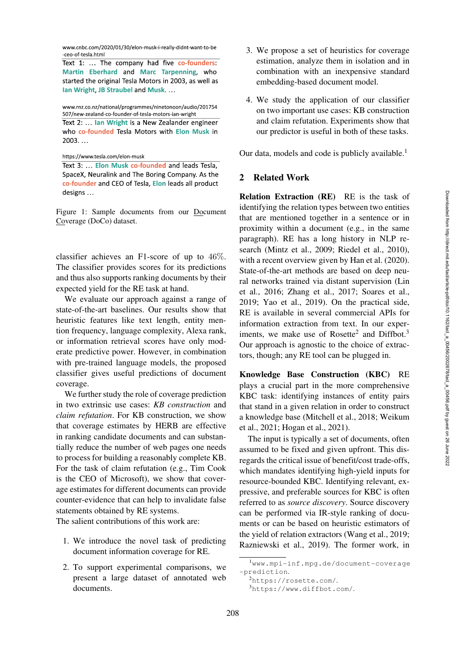www.cnbc.com/2020/01/30/elon-musk-i-really-didnt-want-to-be -ceo-of-tesla.html

Text 1: ... The company had five co-founders: Martin Eberhard and Marc Tarpenning, who started the original Tesla Motors in 2003, as well as Ian Wright, JB Straubel and Musk....

www.rnz.co.nz/national/programmes/ninetonoon/audio/201754 507/new-zealand-co-founder-of-tesla-motors-ian-wright Text 2: ... lan Wright is a New Zealander engineer

who co-founded Tesla Motors with Elon Musk in  $2003...$ 

https://www.tesla.com/elon-musk

Text 3: ... Elon Musk co-founded and leads Tesla, SpaceX, Neuralink and The Boring Company. As the co-founder and CEO of Tesla, Elon leads all product designs ...

<span id="page-1-0"></span>Figure 1: Sample documents from our Document Coverage (DoCo) dataset.

classifier achieves an F1-score of up to 46%. The classifier provides scores for its predictions and thus also supports ranking documents by their expected yield for the RE task at hand.

We evaluate our approach against a range of state-of-the-art baselines. Our results show that heuristic features like text length, entity mention frequency, language complexity, Alexa rank, or information retrieval scores have only moderate predictive power. However, in combination with pre-trained language models, the proposed classifier gives useful predictions of document coverage.

We further study the role of coverage prediction in two extrinsic use cases: *KB construction* and *claim refutation*. For KB construction, we show that coverage estimates by HERB are effective in ranking candidate documents and can substantially reduce the number of web pages one needs to process for building a reasonably complete KB. For the task of claim refutation (e.g., Tim Cook is the CEO of Microsoft), we show that coverage estimates for different documents can provide counter-evidence that can help to invalidate false statements obtained by RE systems.

The salient contributions of this work are:

- 1. We introduce the novel task of predicting document information coverage for RE.
- 2. To support experimental comparisons, we present a large dataset of annotated web documents.
- 3. We propose a set of heuristics for coverage estimation, analyze them in isolation and in combination with an inexpensive standard embedding-based document model.
- 4. We study the application of our classifier on two important use cases: KB construction and claim refutation. Experiments show that our predictor is useful in both of these tasks.

Our data, models and code is publicly available. $<sup>1</sup>$ </sup>

### 2 Related Work

Relation Extraction (RE) RE is the task of identifying the relation types between two entities that are mentioned together in a sentence or in proximity within a document (e.g., in the same paragraph). RE has a long history in NLP research [\(Mintz et al.](#page-14-1), [2009](#page-14-1); [Riedel et al., 2010](#page-15-2)), with a recent overview given by [Han et al.](#page-13-1) [\(2020](#page-13-1)). State-of-the-art methods are based on deep neural networks trained via distant supervision [\(Lin](#page-14-2) [et al.,](#page-14-2) [2016](#page-14-0); [Zhang et al.](#page-16-0), [2017](#page-16-0); [Soares et al.,](#page-15-0) [2019](#page-15-0); [Yao et al.](#page-15-1), [2019\)](#page-15-1). On the practical side, RE is available in several commercial APIs for information extraction from text. In our experiments, we make use of Rosette<sup>2</sup> and Diffbot.<sup>3</sup> Our approach is agnostic to the choice of extractors, though; any RE tool can be plugged in.

Knowledge Base Construction (KBC) RE plays a crucial part in the more comprehensive KBC task: identifying instances of entity pairs that stand in a given relation in order to construct a knowledge base [\(Mitchell et al.](#page-14-3), [2018;](#page-14-3) [Weikum](#page-15-3) [et al.,](#page-15-3) [2021](#page-15-4); [Hogan et al.](#page-13-2), [2021\)](#page-13-2).

The input is typically a set of documents, often assumed to be fixed and given upfront. This disregards the critical issue of benefit/cost trade-offs, which mandates identifying high-yield inputs for resource-bounded KBC. Identifying relevant, expressive, and preferable sources for KBC is often referred to as *source discovery*. Source discovery can be performed via IR-style ranking of documents or can be based on heuristic estimators of the yield of relation extractors [\(Wang et al.](#page-15-5), [2019](#page-15-5); [Razniewski et al., 2019](#page-15-6)). The former work, in

<sup>1</sup>[www.mpi-inf.mpg.de/document-coverage](https://www.mpi-inf.mpg.de/document-coverage-prediction) [-prediction](https://www.mpi-inf.mpg.de/document-coverage-prediction).

<span id="page-1-1"></span><sup>2</sup><https://rosette.com/>.

<span id="page-1-3"></span><span id="page-1-2"></span><sup>3</sup><https://www.diffbot.com/>.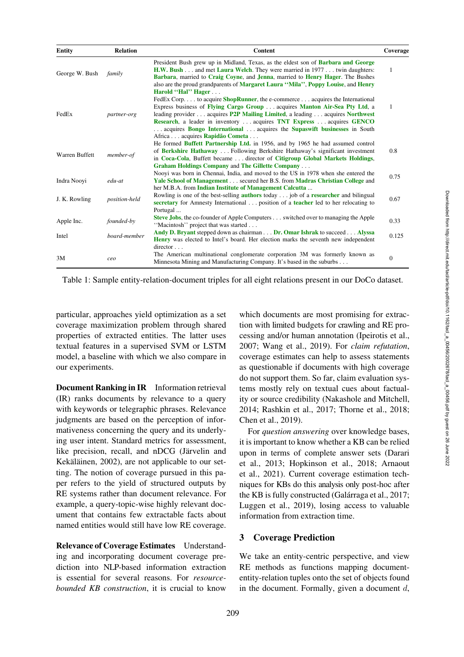| <b>Entity</b>  | <b>Relation</b> | Content                                                                                                                                                                                                                                                                                                                                                                                                                                                                     | Coverage |
|----------------|-----------------|-----------------------------------------------------------------------------------------------------------------------------------------------------------------------------------------------------------------------------------------------------------------------------------------------------------------------------------------------------------------------------------------------------------------------------------------------------------------------------|----------|
| George W. Bush | family          | President Bush grew up in Midland, Texas, as the eldest son of Barbara and George<br><b>H.W. Bush</b> and met <b>Laura Welch</b> . They were married in 1977 twin daughters:<br>Barbara, married to Craig Coyne, and Jenna, married to Henry Hager. The Bushes<br>also are the proud grandparents of Margaret Laura "Mila", Poppy Louise, and Henry<br>Harold "Hal" Hager                                                                                                   | 1        |
| FedEx          | partner-org     | FedEx Corp to acquire <b>ShopRunner</b> , the e-commerce acquires the International<br>Express business of Flying Cargo Group  acquires Manton Air-Sea Pty Ltd, a<br>leading provider acquires <b>P2P Mailing Limited</b> , a leading acquires <b>Northwest</b><br><b>Research</b> , a leader in inventory  acquires <b>TNT Express</b> acquires <b>GENCO</b><br>acquires Bongo International  acquires the Supaswift businesses in South<br>Africa acquires Rapidão Cometa | 1        |
| Warren Buffett | member-of       | He formed <b>Buffett Partnership Ltd.</b> in 1956, and by 1965 he had assumed control<br>of Berkshire Hathaway  Following Berkshire Hathaway's significant investment<br>in Coca-Cola, Buffett became  director of Citigroup Global Markets Holdings,<br><b>Graham Holdings Company and The Gillette Company</b>                                                                                                                                                            | 0.8      |
| Indra Noovi    | $edu-at$        | Nooyi was born in Chennai, India, and moved to the US in 1978 when she entered the<br><b>Yale School of Management</b> secured her B.S. from <b>Madras Christian College</b> and<br>her M.B.A. from Indian Institute of Management Calcutta                                                                                                                                                                                                                                 | 0.75     |
| J. K. Rowling  | position-held   | Rowling is one of the best-selling <b>authors</b> today job of a <b>researcher</b> and bilingual<br>secretary for Amnesty International position of a teacher led to her relocating to<br>Portugal                                                                                                                                                                                                                                                                          | 0.67     |
| Apple Inc.     | founded-by      | <b>Steve Jobs</b> , the co-founder of Apple Computers switched over to managing the Apple<br>"Macintosh" project that was started                                                                                                                                                                                                                                                                                                                                           | 0.33     |
| Intel          | board-member    | Andy D. Bryant stepped down as chairman Dr. Omar Ishrak to succeed Alyssa<br><b>Henry</b> was elected to Intel's board. Her election marks the seventh new independent                                                                                                                                                                                                                                                                                                      | 0.125    |
| 3M             | ceo             | $directory \dots$<br>The American multinational conglomerate corporation 3M was formerly known as<br>Minnesota Mining and Manufacturing Company. It's based in the suburbs                                                                                                                                                                                                                                                                                                  | $\theta$ |

<span id="page-2-0"></span>Table 1: Sample entity-relation-document triples for all eight relations present in our DoCo dataset.

particular, approaches yield optimization as a set coverage maximization problem through shared properties of extracted entities. The latter uses textual features in a supervised SVM or LSTM model, a baseline with which we also compare in our experiments.

Document Ranking in IR Information retrieval (IR) ranks documents by relevance to a query with keywords or telegraphic phrases. Relevance judgments are based on the perception of informativeness concerning the query and its underlying user intent. Standard metrics for assessment, like precision, recall, and nDCG (Järvelin and Kekäläinen, [2002](#page-14-5)), are not applicable to our setting. The notion of coverage pursued in this paper refers to the yield of structured outputs by RE systems rather than document relevance. For example, a query-topic-wise highly relevant document that contains few extractable facts about named entities would still have low RE coverage.

Relevance of Coverage Estimates Understanding and incorporating document coverage prediction into NLP-based information extraction is essential for several reasons. For *resourcebounded KB construction*, it is crucial to know

which documents are most promising for extraction with limited budgets for crawling and RE processing and/or human annotation [\(Ipeirotis et al.,](#page-14-6) [2007](#page-14-6); [Wang et al., 2019\)](#page-15-5). For *claim refutation*, coverage estimates can help to assess statements as questionable if documents with high coverage do not support them. So far, claim evaluation systems mostly rely on textual cues about factuality or source credibility [\(Nakashole and Mitchell,](#page-14-7) [2014](#page-14-7); [Rashkin et al.](#page-15-7), [2017](#page-15-7); [Thorne et al., 2018](#page-15-8); [Chen et al., 2019](#page-13-3)).

For *question answering* over knowledge bases, it is important to know whether a KB can be relied upon in terms of complete answer sets [\(Darari](#page-13-4) [et al.,](#page-13-4) [2013](#page-13-5); [Hopkinson et al., 2018;](#page-14-8) [Arnaout](#page-13-6) [et al.,](#page-13-6) [2021\)](#page-13-7). Current coverage estimation techniques for KBs do this analysis only post-hoc after the KB is fully constructed (Galárraga et al., 2017; [Luggen et al.](#page-14-9), [2019\)](#page-14-9), losing access to valuable information from extraction time.

# 3 Coverage Prediction

We take an entity-centric perspective, and view RE methods as functions mapping documententity-relation tuples onto the set of objects found in the document. Formally, given a document  $d$ ,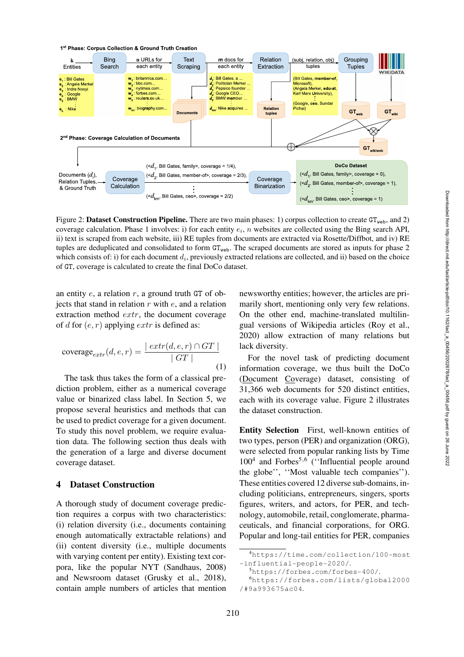

<span id="page-3-0"></span>Figure 2: Dataset Construction Pipeline. There are two main phases: 1) corpus collection to create  $GT_{web}$ , and 2) coverage calculation. Phase 1 involves: i) for each entity  $e_i$ , n websites are collected using the Bing search API, ii) text is scraped from each website, iii) RE tuples from documents are extracted via Rosette/Diffbot, and iv) RE tuples are deduplicated and consolidated to form  $GT_{web}$ . The scraped documents are stored as inputs for phase 2 which consists of: i) for each document  $d_i$ , previously extracted relations are collected, and ii) based on the choice of GT, coverage is calculated to create the final DoCo dataset.

an entity  $e$ , a relation  $r$ , a ground truth GT of objects that stand in relation  $r$  with  $e$ , and a relation extraction method extr, the document coverage of d for  $(e, r)$  applying  $extr$  is defined as:

$$
\text{coverage}_{extr}(d, e, r) = \frac{|\,extr(d, e, r) \cap GT \,|}{|\,GT\,|} \tag{1}
$$

The task thus takes the form of a classical prediction problem, either as a numerical coverage value or binarized class label. In Section [5,](#page-6-0) we propose several heuristics and methods that can be used to predict coverage for a given document. To study this novel problem, we require evaluation data. The following section thus deals with the generation of a large and diverse document coverage dataset.

## 4 Dataset Construction

A thorough study of document coverage prediction requires a corpus with two characteristics: (i) relation diversity (i.e., documents containing enough automatically extractable relations) and (ii) content diversity (i.e., multiple documents with varying content per entity). Existing text corpora, like the popular NYT [\(Sandhaus, 2008\)](#page-15-9) and Newsroom dataset [\(Grusky et al., 2018\)](#page-13-9), contain ample numbers of articles that mention

newsworthy entities; however, the articles are primarily short, mentioning only very few relations. On the other end, machine-translated multilingual versions of Wikipedia articles [\(Roy et al.,](#page-15-10) [2020](#page-15-10)) allow extraction of many relations but lack diversity.

<span id="page-3-4"></span>For the novel task of predicting document information coverage, we thus built the DoCo (Document Coverage) dataset, consisting of 31,366 web documents for 520 distinct entities, each with its coverage value. Figure [2](#page-3-0) illustrates the dataset construction.

Entity Selection First, well-known entities of two types, person (PER) and organization (ORG), were selected from popular ranking lists by Time  $100<sup>4</sup>$  and Forbes<sup>5,[6](#page-3-3)</sup> ("Influential people around the globe'', ''Most valuable tech companies''). These entities covered 12 diverse sub-domains, including politicians, entrepreneurs, singers, sports figures, writers, and actors, for PER, and technology, automobile, retail, conglomerate, pharmaceuticals, and financial corporations, for ORG. Popular and long-tail entities for PER, companies

<sup>4</sup>[https://time.com/collection/100-most](https://time.com/collection/100-most-influential-people-2020/) [-influential-people-2020/](https://time.com/collection/100-most-influential-people-2020/).

<span id="page-3-2"></span><span id="page-3-1"></span><sup>5</sup><https://forbes.com/forbes-400/>.

<span id="page-3-3"></span><sup>6</sup>[https://forbes.com/lists/global2000](https://forbes.com/lists/global2000/#9a993675ac04) [/#9a993675ac04](https://forbes.com/lists/global2000/#9a993675ac04).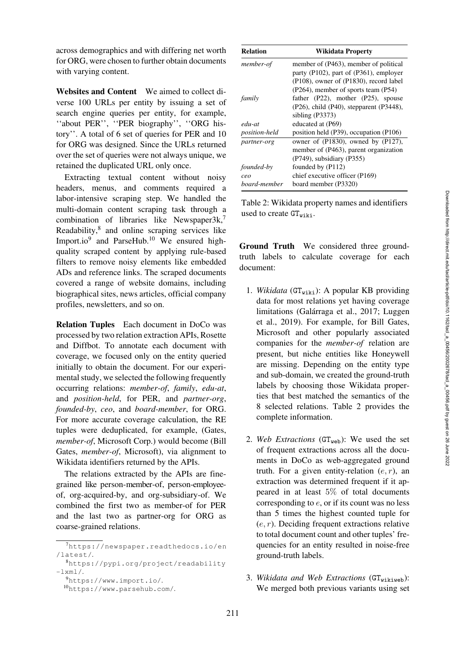across demographics and with differing net worth for ORG, were chosen to further obtain documents with varying content.

Websites and Content We aimed to collect diverse 100 URLs per entity by issuing a set of search engine queries per entity, for example, ''about PER'', ''PER biography'', ''ORG history''. A total of 6 set of queries for PER and 10 for ORG was designed. Since the URLs returned over the set of queries were not always unique, we retained the duplicated URL only once.

Extracting textual content without noisy headers, menus, and comments required a labor-intensive scraping step. We handled the multi-domain content scraping task through a combination of libraries like Newspaper3k,<sup>7</sup> Readability, $8$  and online scraping services like Import.io<sup>9</sup> and ParseHub.<sup>[10](#page-4-3)</sup> We ensured highquality scraped content by applying rule-based filters to remove noisy elements like embedded ADs and reference links. The scraped documents covered a range of website domains, including biographical sites, news articles, official company profiles, newsletters, and so on.

Relation Tuples Each document in DoCo was processed by two relation extraction APIs, Rosette and Diffbot. To annotate each document with coverage, we focused only on the entity queried initially to obtain the document. For our experimental study, we selected the following frequently occurring relations: *member-of*, *family*, *edu-at*, and *position-held*, for PER, and *partner-org*, *founded-by*, *ceo*, and *board-member*, for ORG. For more accurate coverage calculation, the RE tuples were deduplicated, for example, (Gates, *member-of*, Microsoft Corp.) would become (Bill Gates, *member-of*, Microsoft), via alignment to Wikidata identifiers returned by the APIs.

The relations extracted by the APIs are finegrained like person-member-of, person-employeeof, org-acquired-by, and org-subsidiary-of. We combined the first two as member-of for PER and the last two as partner-org for ORG as coarse-grained relations.

| <b>Relation</b>      | Wikidata Property                                                               |
|----------------------|---------------------------------------------------------------------------------|
| member-of            | member of (P463), member of political<br>party (P102), part of (P361), employer |
|                      | (P108), owner of (P1830), record label                                          |
|                      | $(P264)$ , member of sports team $(P54)$                                        |
| family               | father $(P22)$ , mother $(P25)$ , spouse                                        |
|                      | $(P26)$ , child $(P40)$ , stepparent $(P3448)$ ,                                |
|                      | sibling $(P3373)$                                                               |
| edu-at               | educated at (P69)                                                               |
| <i>position-held</i> | position held $(P39)$ , occupation $(P106)$                                     |
| partner-org          | owner of $(P1830)$ , owned by $(P127)$ ,                                        |
|                      | member of (P463), parent organization                                           |
|                      | $(P749)$ , subsidiary $(P355)$                                                  |
| <i>founded-by</i>    | founded by (P112)                                                               |
| ceo                  | chief executive officer (P169)                                                  |
| board-member         | board member (P3320)                                                            |

<span id="page-4-4"></span>Table 2: Wikidata property names and identifiers used to create GT<sub>wiki</sub>.

Ground Truth We considered three groundtruth labels to calculate coverage for each document:

- 1. *Wikidata* ( $GT_{wiki}$ ): A popular KB providing data for most relations yet having coverage limitations (Galárraga et al., [2017](#page-13-8); [Luggen](#page-14-10) [et al.,](#page-14-10) [2019](#page-14-9)). For example, for Bill Gates, Microsoft and other popularly associated companies for the *member-of* relation are present, but niche entities like Honeywell are missing. Depending on the entity type and sub-domain, we created the ground-truth labels by choosing those Wikidata properties that best matched the semantics of the 8 selected relations. Table [2](#page-4-4) provides the complete information.
- 2. Web Extractions  $(GT_{web})$ : We used the set of frequent extractions across all the documents in DoCo as web-aggregated ground truth. For a given entity-relation  $(e, r)$ , an extraction was determined frequent if it appeared in at least 5% of total documents corresponding to  $e$ , or if its count was no less than 5 times the highest counted tuple for  $(e, r)$ . Deciding frequent extractions relative to total document count and other tuples' frequencies for an entity resulted in noise-free ground-truth labels.
- 3. Wikidata and Web Extractions (GT<sub>wikiweb</sub>): We merged both previous variants using set

<span id="page-4-0"></span><sup>7</sup>[https://newspaper.readthedocs.io/en](https://newspaper.readthedocs.io/en/latest/) [/latest/](https://newspaper.readthedocs.io/en/latest/).

<sup>8</sup>[https://pypi.org/project/readability](https://pypi.org/project/readability-lxml/)  $-l$ xml $/$ .

<span id="page-4-1"></span><sup>9</sup><https://www.import.io/>.

<span id="page-4-3"></span><span id="page-4-2"></span><sup>10</sup><https://www.parsehub.com/>.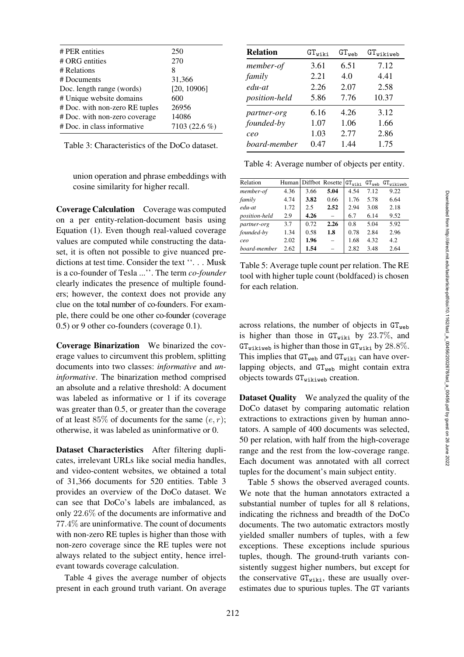| # PER entities                 | 250           |
|--------------------------------|---------------|
| # ORG entities                 | 270           |
| # Relations                    | 8             |
| # Documents                    | 31,366        |
| Doc. length range (words)      | [20, 10906]   |
| # Unique website domains       | 600           |
| # Doc. with non-zero RE tuples | 26956         |
| # Doc. with non-zero coverage  | 14086         |
| # Doc. in class informative    | 7103 (22.6 %) |
|                                |               |

<span id="page-5-0"></span>Table 3: Characteristics of the DoCo dataset.

union operation and phrase embeddings with cosine similarity for higher recall.

Coverage Calculation Coverage was computed on a per entity-relation-document basis using Equation [\(1\)](#page-3-4). Even though real-valued coverage values are computed while constructing the dataset, it is often not possible to give nuanced predictions at test time. Consider the text ''. . . Musk is a co-founder of Tesla ...''. The term *co-founder* clearly indicates the presence of multiple founders; however, the context does not provide any clue on the total number of co-founders. For example, there could be one other co-founder (coverage 0.5) or 9 other co-founders (coverage 0.1).

Coverage Binarization We binarized the coverage values to circumvent this problem, splitting documents into two classes: *informative* and *uninformative*. The binarization method comprised an absolute and a relative threshold: A document was labeled as informative or 1 if its coverage was greater than 0.5, or greater than the coverage of at least 85% of documents for the same  $(e, r)$ ; otherwise, it was labeled as uninformative or 0.

Dataset Characteristics After filtering duplicates, irrelevant URLs like social media handles, and video-content websites, we obtained a total of 31,366 documents for 520 entities. Table [3](#page-5-0) provides an overview of the DoCo dataset. We can see that DoCo's labels are imbalanced, as only 22.6% of the documents are informative and 77.4% are uninformative. The count of documents with non-zero RE tuples is higher than those with non-zero coverage since the RE tuples were not always related to the subject entity, hence irrelevant towards coverage calculation.

Table [4](#page-5-1) gives the average number of objects present in each ground truth variant. On average

| <b>Relation</b> | $\texttt{GT}_{\texttt{wiki}}$ | $GT_{web}$ | $GT_{\text{wikive}}$ |
|-----------------|-------------------------------|------------|----------------------|
| member-of       | 3.61                          | 6.51       | 7.12                 |
| family          | 2.21                          | 4.0        | 4.41                 |
| edu-at          | 2.26                          | 2.07       | 2.58                 |
| position-held   | 5.86                          | 7.76       | 10.37                |
| partner-org     | 6.16                          | 4.26       | 3.12                 |
| founded-by      | 1.07                          | 1.06       | 1.66                 |
| ceo             | 1.03                          | 2.77       | 2.86                 |
| board-member    | 0.47                          | 1.44       | 1.75                 |

<span id="page-5-1"></span>Table 4: Average number of objects per entity.

| Relation      |      |      | Human Diffbot Rosette    | $GT_{\text{wiki}}$ |      | GT <sub>web</sub> GT <sub>wikiweb</sub> |
|---------------|------|------|--------------------------|--------------------|------|-----------------------------------------|
| member-of     | 4.36 | 3.66 | 5.04                     | 4.54               | 7.12 | 9.22                                    |
| family        | 4.74 | 3.82 | 0.66                     | 1.76               | 5.78 | 6.64                                    |
| edu-at        | 1.72 | 2.5  | 2.52                     | 2.94               | 3.08 | 2.18                                    |
| position-held | 2.9  | 4.26 |                          | 6.7                | 6.14 | 9.52                                    |
| partner-org   | 3.7  | 0.72 | 2.26                     | 0.8                | 5.04 | 5.92                                    |
| founded-by    | 1.34 | 0.58 | 1.8                      | 0.78               | 2.84 | 2.96                                    |
| ceo           | 2.02 | 1.96 | $\overline{\phantom{0}}$ | 1.68               | 4.32 | 4.2                                     |
| board-member  | 2.62 | 1.54 |                          | 2.82               | 3.48 | 2.64                                    |

<span id="page-5-2"></span>Table 5: Average tuple count per relation. The RE tool with higher tuple count (boldfaced) is chosen for each relation.

across relations, the number of objects in  $GT_{web}$ is higher than those in  $GT_{wiki}$  by 23.7%, and  $GT_{\text{wikl} \times \text{eb}}$  is higher than those in  $GT_{\text{wiki}}$  by  $28.8\%$ . This implies that  $GT_{web}$  and  $GT_{wiki}$  can have overlapping objects, and  $GT_{web}$  might contain extra objects towards  $GT_{\text{wiklive}}$  creation.

Dataset Quality We analyzed the quality of the DoCo dataset by comparing automatic relation extractions to extractions given by human annotators. A sample of 400 documents was selected, 50 per relation, with half from the high-coverage range and the rest from the low-coverage range. Each document was annotated with all correct tuples for the document's main subject entity.

Table [5](#page-5-2) shows the observed averaged counts. We note that the human annotators extracted a substantial number of tuples for all 8 relations, indicating the richness and breadth of the DoCo documents. The two automatic extractors mostly yielded smaller numbers of tuples, with a few exceptions. These exceptions include spurious tuples, though. The ground-truth variants consistently suggest higher numbers, but except for the conservative  $GT_{\text{wiki}}$ , these are usually overestimates due to spurious tuples. The GT variants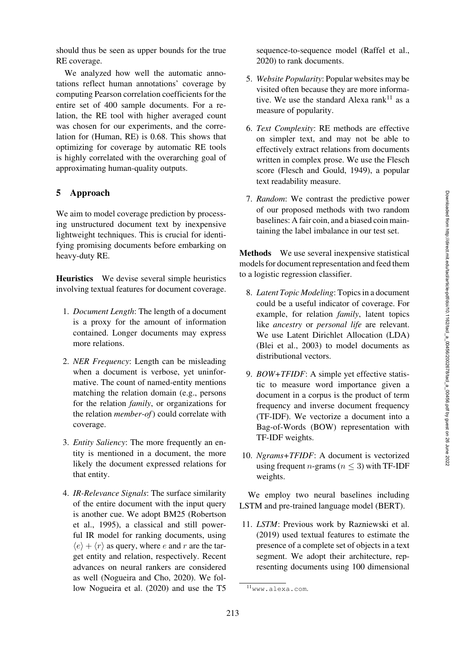should thus be seen as upper bounds for the true RE coverage.

We analyzed how well the automatic annotations reflect human annotations' coverage by computing Pearson correlation coefficients for the entire set of 400 sample documents. For a relation, the RE tool with higher averaged count was chosen for our experiments, and the correlation for (Human, RE) is 0.68. This shows that optimizing for coverage by automatic RE tools is highly correlated with the overarching goal of approximating human-quality outputs.

# <span id="page-6-0"></span>5 Approach

We aim to model coverage prediction by processing unstructured document text by inexpensive lightweight techniques. This is crucial for identifying promising documents before embarking on heavy-duty RE.

Heuristics We devise several simple heuristics involving textual features for document coverage.

- 1. *Document Length*: The length of a document is a proxy for the amount of information contained. Longer documents may express more relations.
- 2. *NER Frequency*: Length can be misleading when a document is verbose, yet uninformative. The count of named-entity mentions matching the relation domain (e.g., persons for the relation *family*, or organizations for the relation *member-of*) could correlate with coverage.
- 3. *Entity Saliency*: The more frequently an entity is mentioned in a document, the more likely the document expressed relations for that entity.
- 4. *IR-Relevance Signals*: The surface similarity of the entire document with the input query is another cue. We adopt BM25 [\(Robertson](#page-15-11) [et al.,](#page-15-11) [1995\)](#page-15-12), a classical and still powerful IR model for ranking documents, using  $\langle e \rangle + \langle r \rangle$  as query, where e and r are the target entity and relation, respectively. Recent advances on neural rankers are considered as well [\(Nogueira and Cho](#page-14-11), [2020\)](#page-14-11). We follow [Nogueira et al.](#page-14-12) [\(2020\)](#page-14-12) and use the T5

sequence-to-sequence model [\(Raffel et al.,](#page-15-13) [2020](#page-15-13)) to rank documents.

- 5. *Website Popularity*: Popular websites may be visited often because they are more informative. We use the standard Alexa rank<sup>11</sup> as a measure of popularity.
- 6. *Text Complexity*: RE methods are effective on simpler text, and may not be able to effectively extract relations from documents written in complex prose. We use the Flesch score [\(Flesch and Gould, 1949](#page-13-10)), a popular text readability measure.
- 7. *Random*: We contrast the predictive power of our proposed methods with two random baselines: A fair coin, and a biased coin maintaining the label imbalance in our test set.

Methods We use several inexpensive statistical models for document representation and feed them to a logistic regression classifier.

- 8. *Latent Topic Modeling*: Topics in a document could be a useful indicator of coverage. For example, for relation *family*, latent topics like *ancestry* or *personal life* are relevant. We use Latent Dirichlet Allocation (LDA) [\(Blei et al., 2003](#page-13-11)) to model documents as distributional vectors.
- 9. *BOW+TFIDF*: A simple yet effective statistic to measure word importance given a document in a corpus is the product of term frequency and inverse document frequency (TF-IDF). We vectorize a document into a Bag-of-Words (BOW) representation with TF-IDF weights.
- 10. *Ngrams+TFIDF*: A document is vectorized using frequent *n*-grams ( $n < 3$ ) with TF-IDF weights.

We employ two neural baselines including LSTM and pre-trained language model (BERT).

11. *LSTM*: Previous work by [Razniewski et al.](#page-15-6) [\(2019\)](#page-15-6) used textual features to estimate the presence of a complete set of objects in a text segment. We adopt their architecture, representing documents using 100 dimensional

<span id="page-6-1"></span><sup>11</sup><www.alexa.com>.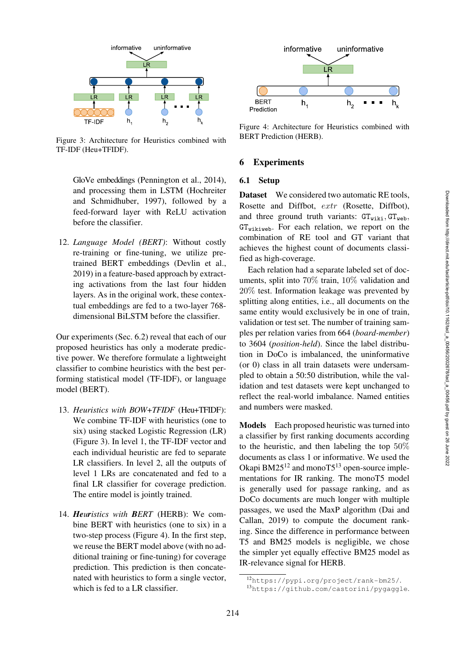

<span id="page-7-0"></span>Figure 3: Architecture for Heuristics combined with TF-IDF (Heu+TFIDF).

GloVe embeddings [\(Pennington et al., 2014\)](#page-14-13), and processing them in LSTM [\(Hochreiter](#page-13-12) [and Schmidhuber,](#page-13-12) [1997](#page-13-13)), followed by a feed-forward layer with ReLU activation before the classifier.

12. *Language Model (BERT)*: Without costly re-training or fine-tuning, we utilize pretrained BERT embeddings [\(Devlin et al.,](#page-13-14) [2019\)](#page-13-14) in a feature-based approach by extracting activations from the last four hidden layers. As in the original work, these contextual embeddings are fed to a two-layer 768 dimensional BiLSTM before the classifier.

Our experiments (Sec. [6.2\)](#page-8-0) reveal that each of our proposed heuristics has only a moderate predictive power. We therefore formulate a lightweight classifier to combine heuristics with the best performing statistical model (TF-IDF), or language model (BERT).

- 13. *Heuristics with BOW+TFIDF* (Heu+TFIDF): We combine TF-IDF with heuristics (one to six) using stacked Logistic Regression (LR) (Figure [3\)](#page-7-0). In level 1, the TF-IDF vector and each individual heuristic are fed to separate LR classifiers. In level 2, all the outputs of level 1 LRs are concatenated and fed to a final LR classifier for coverage prediction. The entire model is jointly trained.
- 14. *Heuristics with BERT* (HERB): We combine BERT with heuristics (one to six) in a two-step process (Figure [4\)](#page-7-1). In the first step, we reuse the BERT model above (with no additional training or fine-tuning) for coverage prediction. This prediction is then concatenated with heuristics to form a single vector, which is fed to a LR classifier.



<span id="page-7-1"></span>Figure 4: Architecture for Heuristics combined with BERT Prediction (HERB).

#### 6 Experiments

#### 6.1 Setup

Dataset We considered two automatic RE tools, Rosette and Diffbot, extr (Rosette, Diffbot), and three ground truth variants:  $GT_{wiki}$ ,  $GT_{web}$ ,  $GT_{\text{wik伐}}$ . For each relation, we report on the combination of RE tool and GT variant that achieves the highest count of documents classified as high-coverage.

Each relation had a separate labeled set of documents, split into 70% train, 10% validation and 20% test. Information leakage was prevented by splitting along entities, i.e., all documents on the same entity would exclusively be in one of train, validation or test set. The number of training samples per relation varies from 664 (*board-member*) to 3604 (*position-held*). Since the label distribution in DoCo is imbalanced, the uninformative (or 0) class in all train datasets were undersampled to obtain a 50:50 distribution, while the validation and test datasets were kept unchanged to reflect the real-world imbalance. Named entities and numbers were masked.

Models Each proposed heuristic was turned into a classifier by first ranking documents according to the heuristic, and then labeling the top 50% documents as class 1 or informative. We used the Okapi  $BM25^{12}$  and mono $T5^{13}$  open-source implementations for IR ranking. The monoT5 model is generally used for passage ranking, and as DoCo documents are much longer with multiple passages, we used the MaxP algorithm [\(Dai and](#page-13-15) [Callan,](#page-13-15) [2019\)](#page-13-16) to compute the document ranking. Since the difference in performance between T5 and BM25 models is negligible, we chose the simpler yet equally effective BM25 model as IR-relevance signal for HERB.

<sup>12</sup><https://pypi.org/project/rank-bm25/>.

<span id="page-7-3"></span><span id="page-7-2"></span><sup>13</sup><https://github.com/castorini/pygaggle>.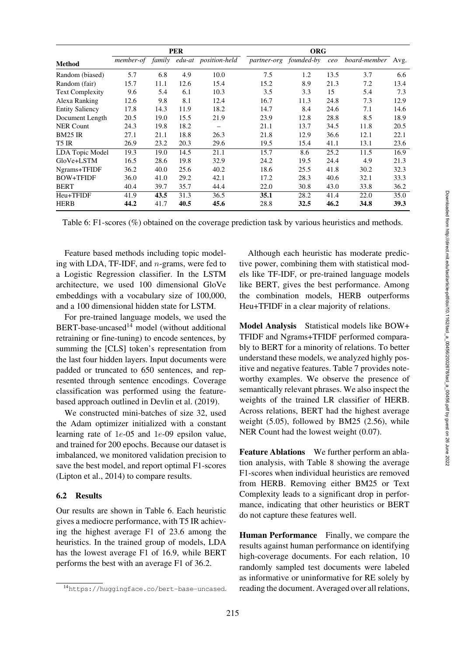|                        |      |      | <b>PER</b> |                                       | <b>ORG</b> |                        |      |                   |      |
|------------------------|------|------|------------|---------------------------------------|------------|------------------------|------|-------------------|------|
| Method                 |      |      |            | member-of family edu-at position-held |            | partner-org founded-by | ceo  | board-member Avg. |      |
| Random (biased)        | 5.7  | 6.8  | 4.9        | 10.0                                  | 7.5        | 1.2                    | 13.5 | 3.7               | 6.6  |
| Random (fair)          | 15.7 | 11.1 | 12.6       | 15.4                                  | 15.2       | 8.9                    | 21.3 | 7.2               | 13.4 |
| Text Complexity        | 9.6  | 5.4  | 6.1        | 10.3                                  | 3.5        | 3.3                    | 15   | 5.4               | 7.3  |
| Alexa Ranking          | 12.6 | 9.8  | 8.1        | 12.4                                  | 16.7       | 11.3                   | 24.8 | 7.3               | 12.9 |
| <b>Entity Saliency</b> | 17.8 | 14.3 | 11.9       | 18.2                                  | 14.7       | 8.4                    | 24.6 | 7.1               | 14.6 |
| Document Length        | 20.5 | 19.0 | 15.5       | 21.9                                  | 23.9       | 12.8                   | 28.8 | 8.5               | 18.9 |
| NER Count              | 24.3 | 19.8 | 18.2       |                                       | 21.1       | 13.7                   | 34.5 | 11.8              | 20.5 |
| BM25 IR                | 27.1 | 21.1 | 18.8       | 26.3                                  | 21.8       | 12.9                   | 36.6 | 12.1              | 22.1 |
| T5 IR                  | 26.9 | 23.2 | 20.3       | 29.6                                  | 19.5       | 15.4                   | 41.1 | 13.1              | 23.6 |
| <b>LDA</b> Topic Model | 19.3 | 19.0 | 14.5       | 21.1                                  | 15.7       | 8.6                    | 25.2 | 11.5              | 16.9 |
| GloVe+LSTM             | 16.5 | 28.6 | 19.8       | 32.9                                  | 24.2       | 19.5                   | 24.4 | 4.9               | 21.3 |
| Ngrams+TFIDF           | 36.2 | 40.0 | 25.6       | 40.2                                  | 18.6       | 25.5                   | 41.8 | 30.2              | 32.3 |
| BOW+TFIDF              | 36.0 | 41.0 | 29.2       | 42.1                                  | 17.2       | 28.3                   | 40.6 | 32.1              | 33.3 |
| <b>BERT</b>            | 40.4 | 39.7 | 35.7       | 44.4                                  | 22.0       | 30.8                   | 43.0 | 33.8              | 36.2 |
| Heu+TFIDF              | 41.9 | 43.5 | 31.3       | 36.5                                  | 35.1       | 28.2                   | 41.4 | 22.0              | 35.0 |
| HERB                   | 44.2 | 41.7 | 40.5       | 45.6                                  | 28.8       | 32.5                   | 46.2 | 34.8              | 39.3 |

<span id="page-8-2"></span>Feature based methods including topic modeling with LDA, TF-IDF, and n-grams, were fed to a Logistic Regression classifier. In the LSTM architecture, we used 100 dimensional GloVe embeddings with a vocabulary size of 100,000, and a 100 dimensional hidden state for LSTM.

For pre-trained language models, we used the BERT-base-uncased<sup>14</sup> model (without additional retraining or fine-tuning) to encode sentences, by summing the [CLS] token's representation from the last four hidden layers. Input documents were padded or truncated to 650 sentences, and represented through sentence encodings. Coverage classification was performed using the featurebased approach outlined in [Devlin et al.](#page-13-14) [\(2019](#page-13-14)).

We constructed mini-batches of size 32, used the Adam optimizer initialized with a constant learning rate of 1e-05 and 1e-09 epsilon value, and trained for 200 epochs. Because our dataset is imbalanced, we monitored validation precision to save the best model, and report optimal F1-scores [\(Lipton et al.](#page-14-14), [2014\)](#page-14-14) to compare results.

# <span id="page-8-0"></span>6.2 Results

Our results are shown in Table [6.](#page-8-2) Each heuristic gives a mediocre performance, with T5 IR achieving the highest average F1 of 23.6 among the heuristics. In the trained group of models, LDA has the lowest average F1 of 16.9, while BERT performs the best with an average F1 of 36.2.

Although each heuristic has moderate predictive power, combining them with statistical models like TF-IDF, or pre-trained language models like BERT, gives the best performance. Among the combination models, HERB outperforms Heu+TFIDF in a clear majority of relations.

Model Analysis Statistical models like BOW+ TFIDF and Ngrams+TFIDF performed comparably to BERT for a minority of relations. To better understand these models, we analyzed highly positive and negative features. Table [7](#page-9-0) provides noteworthy examples. We observe the presence of semantically relevant phrases. We also inspect the weights of the trained LR classifier of HERB. Across relations, BERT had the highest average weight (5.05), followed by BM25 (2.56), while NER Count had the lowest weight (0.07).

Feature Ablations We further perform an ablation analysis, with Table [8](#page-9-1) showing the average F1-scores when individual heuristics are removed from HERB. Removing either BM25 or Text Complexity leads to a significant drop in performance, indicating that other heuristics or BERT do not capture these features well.

Human Performance Finally, we compare the results against human performance on identifying high-coverage documents. For each relation, 10 randomly sampled test documents were labeled as informative or uninformative for RE solely by reading the document. Averaged over all relations,

<span id="page-8-1"></span><sup>14</sup><https://huggingface.co/bert-base-uncased>.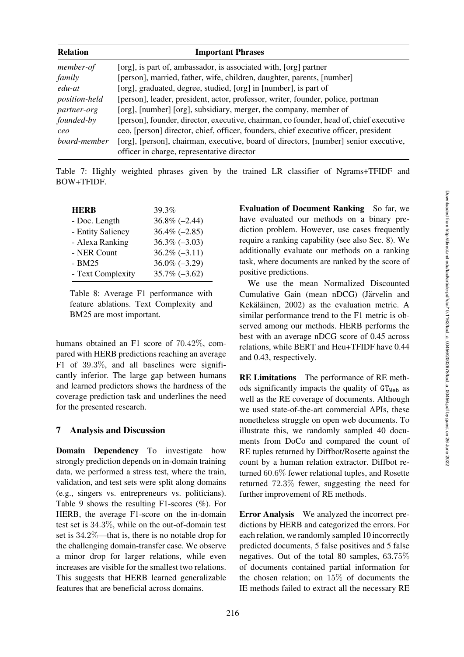| <b>Relation</b>      | <b>Important Phrases</b>                                                               |
|----------------------|----------------------------------------------------------------------------------------|
| member-of            | [org], is part of, ambassador, is associated with, [org] partner                       |
| family               | [person], married, father, wife, children, daughter, parents, [number]                 |
| edu-at               | [org], graduated, degree, studied, [org] in [number], is part of                       |
| <i>position-held</i> | [person], leader, president, actor, professor, writer, founder, police, portman        |
| partner-org          | [org], [number] [org], subsidiary, merger, the company, member of                      |
| founded-by           | [person], founder, director, executive, chairman, co founder, head of, chief executive |
| ceo                  | ceo, [person] director, chief, officer, founders, chief executive officer, president   |
| board-member         | [org], [person], chairman, executive, board of directors, [number] senior executive,   |
|                      | officer in charge, representative director                                             |

Table 7: Highly weighted phrases given by the trained LR classifier of Ngrams+TFIDF and BOW+TFIDF.

<span id="page-9-0"></span>

| <b>HERB</b>       | 39.3%            |
|-------------------|------------------|
| - Doc. Length     | $36.8\%(-2.44)$  |
| - Entity Saliency | $36.4\%(-2.85)$  |
| - Alexa Ranking   | $36.3\%(-3.03)$  |
| - NER Count       | $36.2\%(-3.11)$  |
| $-BM25$           | $36.0\% (-3.29)$ |
| - Text Complexity | $35.7\% (-3.62)$ |
|                   |                  |

<span id="page-9-1"></span>Table 8: Average F1 performance with feature ablations. Text Complexity and BM25 are most important.

humans obtained an F1 score of 70.42%, compared with HERB predictions reaching an average F1 of 39.3%, and all baselines were significantly inferior. The large gap between humans and learned predictors shows the hardness of the coverage prediction task and underlines the need for the presented research.

# 7 Analysis and Discussion

Domain Dependency To investigate how strongly prediction depends on in-domain training data, we performed a stress test, where the train, validation, and test sets were split along domains (e.g., singers vs. entrepreneurs vs. politicians). Table [9](#page-10-0) shows the resulting F1-scores (%). For HERB, the average F1-score on the in-domain test set is 34.3%, while on the out-of-domain test set is 34.2%—that is, there is no notable drop for the challenging domain-transfer case. We observe a minor drop for larger relations, while even increases are visible for the smallest two relations. This suggests that HERB learned generalizable features that are beneficial across domains.

Evaluation of Document Ranking So far, we have evaluated our methods on a binary prediction problem. However, use cases frequently require a ranking capability (see also Sec. [8\)](#page-10-1). We additionally evaluate our methods on a ranking task, where documents are ranked by the score of positive predictions.

We use the mean Normalized Discounted Cumulative Gain (mean nDCG) (Järvelin and Kekäläinen, [2002\)](#page-14-5) as the evaluation metric. A similar performance trend to the F1 metric is observed among our methods. HERB performs the best with an average nDCG score of 0.45 across relations, while BERT and Heu+TFIDF have 0.44 and 0.43, respectively.

RE Limitations The performance of RE methods significantly impacts the quality of  $GT_{Web}$  as well as the RE coverage of documents. Although we used state-of-the-art commercial APIs, these nonetheless struggle on open web documents. To illustrate this, we randomly sampled 40 documents from DoCo and compared the count of RE tuples returned by Diffbot/Rosette against the count by a human relation extractor. Diffbot returned 60.6% fewer relational tuples, and Rosette returned 72.3% fewer, suggesting the need for further improvement of RE methods.

Error Analysis We analyzed the incorrect predictions by HERB and categorized the errors. For each relation, we randomly sampled 10 incorrectly predicted documents, 5 false positives and 5 false negatives. Out of the total 80 samples, 63.75% of documents contained partial information for the chosen relation; on 15% of documents the IE methods failed to extract all the necessary RE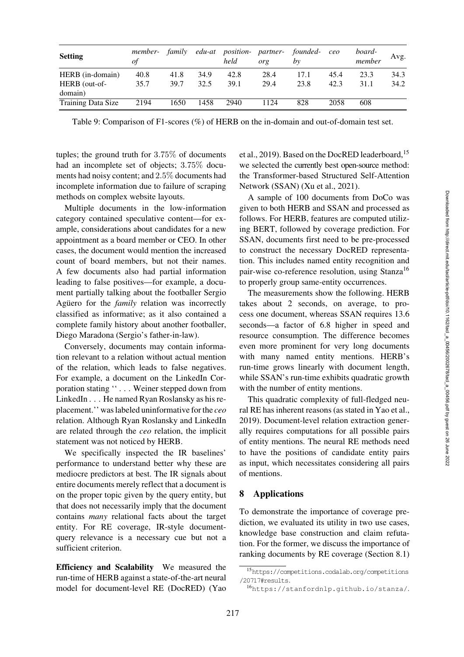| <b>Setting</b>     | member-<br>οf | family |      | edu-at position- partner- founded-<br>held | org  | by   | ceo  | board-<br>member | Avg. |
|--------------------|---------------|--------|------|--------------------------------------------|------|------|------|------------------|------|
| HERB (in-domain)   | 40.8          | 41.8   | 34.9 | 42.8                                       | 28.4 | 17.1 | 45.4 | 23.3             | 34.3 |
| HERB (out-of-      | 35.7          | 39.7   | 32.5 | 39.1                                       | 29.4 | 23.8 | 42.3 | 31.1             | 34.2 |
| domain)            |               |        |      |                                            |      |      |      |                  |      |
| Training Data Size | 2194          | 1650   | 1458 | 2940                                       | 1124 | 828  | 2058 | 608              |      |

<span id="page-10-0"></span>Table 9: Comparison of F1-scores (%) of HERB on the in-domain and out-of-domain test set.

tuples; the ground truth for 3.75% of documents had an incomplete set of objects; 3.75% documents had noisy content; and 2.5% documents had incomplete information due to failure of scraping methods on complex website layouts.

Multiple documents in the low-information category contained speculative content—for example, considerations about candidates for a new appointment as a board member or CEO. In other cases, the document would mention the increased count of board members, but not their names. A few documents also had partial information leading to false positives—for example, a document partially talking about the footballer Sergio Aguero for the *family* relation was incorrectly classified as informative; as it also contained a complete family history about another footballer, Diego Maradona (Sergio's father-in-law).

Conversely, documents may contain information relevant to a relation without actual mention of the relation, which leads to false negatives. For example, a document on the LinkedIn Corporation stating '' . . . Weiner stepped down from LinkedIn . . . He named Ryan Roslansky as his replacement.'' was labeled uninformative for the *ceo* relation. Although Ryan Roslansky and LinkedIn are related through the *ceo* relation, the implicit statement was not noticed by HERB.

We specifically inspected the IR baselines' performance to understand better why these are mediocre predictors at best. The IR signals about entire documents merely reflect that a document is on the proper topic given by the query entity, but that does not necessarily imply that the document contains *many* relational facts about the target entity. For RE coverage, IR-style documentquery relevance is a necessary cue but not a sufficient criterion.

Efficiency and Scalability We measured the run-time of HERB against a state-of-the-art neural model for document-level RE (DocRED) [\(Yao](#page-15-14) [et al.,](#page-15-14) [2019\)](#page-15-1). Based on the DocRED leaderboard,<sup>15</sup> we selected the currently best open-source method: the Transformer-based Structured Self-Attention Network (SSAN) [\(Xu et al., 2021](#page-15-15)).

A sample of 100 documents from DoCo was given to both HERB and SSAN and processed as follows. For HERB, features are computed utilizing BERT, followed by coverage prediction. For SSAN, documents first need to be pre-processed to construct the necessary DocRED representation. This includes named entity recognition and pair-wise co-reference resolution, using Stanza<sup>16</sup> to properly group same-entity occurrences.

The measurements show the following. HERB takes about 2 seconds, on average, to process one document, whereas SSAN requires 13.6 seconds—a factor of 6.8 higher in speed and resource consumption. The difference becomes even more prominent for very long documents with many named entity mentions. HERB's run-time grows linearly with document length, while SSAN's run-time exhibits quadratic growth with the number of entity mentions.

This quadratic complexity of full-fledged neural RE has inherent reasons (as stated in [Yao et al.,](#page-15-1) [2019](#page-15-1)). Document-level relation extraction generally requires computations for all possible pairs of entity mentions. The neural RE methods need to have the positions of candidate entity pairs as input, which necessitates considering all pairs of mentions.

## <span id="page-10-1"></span>8 Applications

To demonstrate the importance of coverage prediction, we evaluated its utility in two use cases, knowledge base construction and claim refutation. For the former, we discuss the importance of ranking documents by RE coverage (Section [8.1\)](#page-11-0)

<sup>15</sup>[https://competitions.codalab.org/competitions](https://competitions.codalab.org/competitions/20717#results) [/20717#results](https://competitions.codalab.org/competitions/20717#results).

<span id="page-10-3"></span><span id="page-10-2"></span><sup>16</sup><https://stanfordnlp.github.io/stanza/>.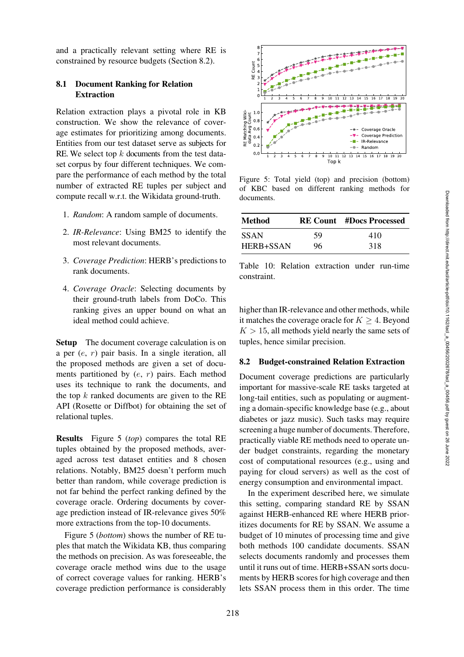and a practically relevant setting where RE is constrained by resource budgets (Section [8.2\)](#page-11-1).

# <span id="page-11-0"></span>8.1 Document Ranking for Relation Extraction

Relation extraction plays a pivotal role in KB construction. We show the relevance of coverage estimates for prioritizing among documents. Entities from our test dataset serve as subjects for RE. We select top  $k$  documents from the test dataset corpus by four different techniques. We compare the performance of each method by the total number of extracted RE tuples per subject and compute recall w.r.t. the Wikidata ground-truth.

- 1. *Random*: A random sample of documents.
- 2. *IR-Relevance*: Using BM25 to identify the most relevant documents.
- 3. *Coverage Prediction*: HERB's predictions to rank documents.
- 4. *Coverage Oracle*: Selecting documents by their ground-truth labels from DoCo. This ranking gives an upper bound on what an ideal method could achieve.

Setup The document coverage calculation is on a per (e, r) pair basis. In a single iteration, all the proposed methods are given a set of documents partitioned by  $(e, r)$  pairs. Each method uses its technique to rank the documents, and the top  $k$  ranked documents are given to the RE API (Rosette or Diffbot) for obtaining the set of relational tuples.

Results Figure [5](#page-11-2) (*top*) compares the total RE tuples obtained by the proposed methods, averaged across test dataset entities and 8 chosen relations. Notably, BM25 doesn't perform much better than random, while coverage prediction is not far behind the perfect ranking defined by the coverage oracle. Ordering documents by coverage prediction instead of IR-relevance gives 50% more extractions from the top-10 documents.

Figure [5](#page-11-2) (*bottom*) shows the number of RE tuples that match the Wikidata KB, thus comparing the methods on precision. As was foreseeable, the coverage oracle method wins due to the usage of correct coverage values for ranking. HERB's coverage prediction performance is considerably



<span id="page-11-2"></span>Figure 5: Total yield (top) and precision (bottom) of KBC based on different ranking methods for documents.

| Method      |    | <b>RE Count</b> #Docs Processed |
|-------------|----|---------------------------------|
| <b>SSAN</b> | 59 | 410                             |
| HERB+SSAN   | 96 | 318                             |

<span id="page-11-3"></span>Table 10: Relation extraction under run-time constraint.

higher than IR-relevance and other methods, while it matches the coverage oracle for  $K > 4$ . Beyond  $K > 15$ , all methods yield nearly the same sets of tuples, hence similar precision.

### <span id="page-11-1"></span>8.2 Budget-constrained Relation Extraction

Document coverage predictions are particularly important for massive-scale RE tasks targeted at long-tail entities, such as populating or augmenting a domain-specific knowledge base (e.g., about diabetes or jazz music). Such tasks may require screening a huge number of documents. Therefore, practically viable RE methods need to operate under budget constraints, regarding the monetary cost of computational resources (e.g., using and paying for cloud servers) as well as the cost of energy consumption and environmental impact.

In the experiment described here, we simulate this setting, comparing standard RE by SSAN against HERB-enhanced RE where HERB prioritizes documents for RE by SSAN. We assume a budget of 10 minutes of processing time and give both methods 100 candidate documents. SSAN selects documents randomly and processes them until it runs out of time. HERB+SSAN sorts documents by HERB scores for high coverage and then lets SSAN process them in this order. The time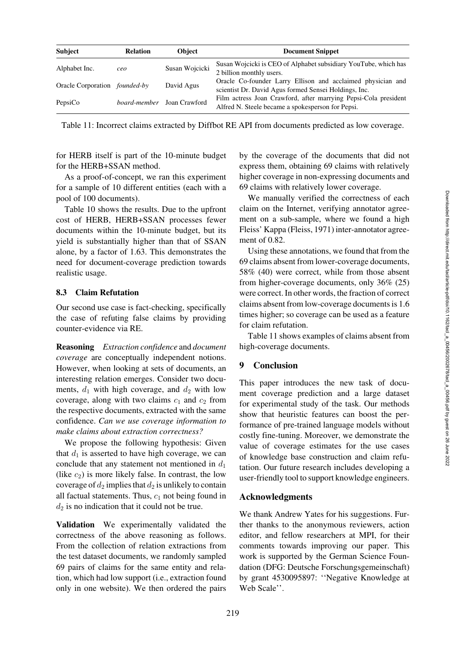| <b>Subject</b>                       | <b>Relation</b> | <b>Object</b>                     | <b>Document Snippet</b>                                                                                              |
|--------------------------------------|-----------------|-----------------------------------|----------------------------------------------------------------------------------------------------------------------|
| Alphabet Inc.                        | ceo             | Susan Wojcicki                    | Susan Wojcicki is CEO of Alphabet subsidiary YouTube, which has<br>2 billion monthly users.                          |
| Oracle Corporation <i>founded-by</i> |                 | David Agus                        | Oracle Co-founder Larry Ellison and acclaimed physician and<br>scientist Dr. David Agus formed Sensei Holdings, Inc. |
| PepsiCo                              |                 | <i>board-member</i> Joan Crawford | Film actress Joan Crawford, after marrying Pepsi-Cola president<br>Alfred N. Steele became a spokesperson for Pepsi. |

<span id="page-12-0"></span>Table 11: Incorrect claims extracted by Diffbot RE API from documents predicted as low coverage.

for HERB itself is part of the 10-minute budget for the HERB+SSAN method.

As a proof-of-concept, we ran this experiment for a sample of 10 different entities (each with a pool of 100 documents).

Table [10](#page-11-3) shows the results. Due to the upfront cost of HERB, HERB+SSAN processes fewer documents within the 10-minute budget, but its yield is substantially higher than that of SSAN alone, by a factor of 1.63. This demonstrates the need for document-coverage prediction towards realistic usage.

#### 8.3 Claim Refutation

Our second use case is fact-checking, specifically the case of refuting false claims by providing counter-evidence via RE.

Reasoning *Extraction confidence* and *document coverage* are conceptually independent notions. However, when looking at sets of documents, an interesting relation emerges. Consider two documents,  $d_1$  with high coverage, and  $d_2$  with low coverage, along with two claims  $c_1$  and  $c_2$  from the respective documents, extracted with the same confidence. *Can we use coverage information to make claims about extraction correctness?*

We propose the following hypothesis: Given that  $d_1$  is asserted to have high coverage, we can conclude that any statement not mentioned in  $d_1$ (like  $c_2$ ) is more likely false. In contrast, the low coverage of  $d_2$  implies that  $d_2$  is unlikely to contain all factual statements. Thus,  $c_1$  not being found in  $d_2$  is no indication that it could not be true.

Validation We experimentally validated the correctness of the above reasoning as follows. From the collection of relation extractions from the test dataset documents, we randomly sampled 69 pairs of claims for the same entity and relation, which had low support (i.e., extraction found only in one website). We then ordered the pairs by the coverage of the documents that did not express them, obtaining 69 claims with relatively higher coverage in non-expressing documents and 69 claims with relatively lower coverage.

We manually verified the correctness of each claim on the Internet, verifying annotator agreement on a sub-sample, where we found a high Fleiss' Kappa [\(Fleiss, 1971](#page-13-17)) inter-annotator agreement of 0.82.

Using these annotations, we found that from the 69 claims absent from lower-coverage documents, 58% (40) were correct, while from those absent from higher-coverage documents, only 36% (25) were correct. In other words, the fraction of correct claims absent from low-coverage documents is 1.6 times higher; so coverage can be used as a feature for claim refutation.

Table [11](#page-12-0) shows examples of claims absent from high-coverage documents.

## 9 Conclusion

This paper introduces the new task of document coverage prediction and a large dataset for experimental study of the task. Our methods show that heuristic features can boost the performance of pre-trained language models without costly fine-tuning. Moreover, we demonstrate the value of coverage estimates for the use cases of knowledge base construction and claim refutation. Our future research includes developing a user-friendly tool to support knowledge engineers.

### Acknowledgments

We thank Andrew Yates for his suggestions. Further thanks to the anonymous reviewers, action editor, and fellow researchers at MPI, for their comments towards improving our paper. This work is supported by the German Science Foundation (DFG: Deutsche Forschungsgemeinschaft) by grant 4530095897: ''Negative Knowledge at Web Scale''.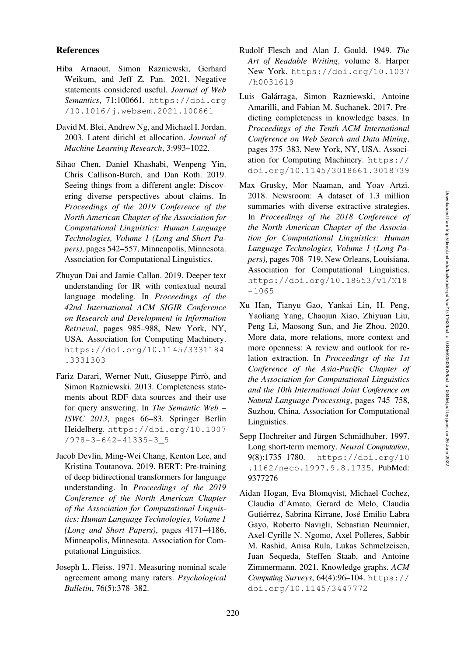### References

- <span id="page-13-7"></span><span id="page-13-6"></span>Hiba Arnaout, Simon Razniewski, Gerhard Weikum, and Jeff Z. Pan. 2021. Negative statements considered useful. *Journal of Web Semantics*, 71:100661. [https://doi.org](https://doi.org/10.1016/j.websem.2021.100661) [/10.1016/j.websem.2021.100661](https://doi.org/10.1016/j.websem.2021.100661)
- <span id="page-13-11"></span>David M. Blei, Andrew Ng, and Michael I. Jordan. 2003. Latent dirichl et allocation. *Journal of Machine Learning Research*, 3:993–1022.
- <span id="page-13-3"></span>Sihao Chen, Daniel Khashabi, Wenpeng Yin, Chris Callison-Burch, and Dan Roth. 2019. Seeing things from a different angle: Discovering diverse perspectives about claims. In *Proceedings of the 2019 Conference of the North American Chapter of the Association for Computational Linguistics: Human Language Technologies, Volume 1 (Long and Short Papers)*, pages 542–557, Minneapolis, Minnesota. Association for Computational Linguistics.
- <span id="page-13-16"></span>Zhuyun Dai and Jamie Callan. 2019. Deeper text understanding for IR with contextual neural language modeling. In *Proceedings of the 42nd International ACM SIGIR Conference on Research and Development in Information Retrieval*, pages 985–988, New York, NY, USA. Association for Computing Machinery. [https://doi.org/10.1145/3331184](https://doi.org/10.1145/3331184.3331303) [.3331303](https://doi.org/10.1145/3331184.3331303)
- <span id="page-13-5"></span><span id="page-13-4"></span>Fariz Darari, Werner Nutt, Giuseppe Pirrò, and Simon Razniewski. 2013. Completeness statements about RDF data sources and their use for query answering. In *The Semantic Web – ISWC 2013*, pages 66–83. Springer Berlin Heidelberg. [https://doi.org/10.1007](https://doi.org/10.1007/978-3-642-41335-3_5) [/978-3-642-41335-3\\_5](https://doi.org/10.1007/978-3-642-41335-3_5)
- <span id="page-13-14"></span>Jacob Devlin, Ming-Wei Chang, Kenton Lee, and Kristina Toutanova. 2019. BERT: Pre-training of deep bidirectional transformers for language understanding. In *Proceedings of the 2019 Conference of the North American Chapter of the Association for Computational Linguistics: Human Language Technologies, Volume 1 (Long and Short Papers)*, pages 4171–4186, Minneapolis, Minnesota. Association for Computational Linguistics.
- <span id="page-13-17"></span>Joseph L. Fleiss. 1971. Measuring nominal scale agreement among many raters. *Psychological Bulletin*, 76(5):378–382.
- <span id="page-13-10"></span>Rudolf Flesch and Alan J. Gould. 1949. *The Art of Readable Writing*, volume 8. Harper New York. [https://doi.org/10.1037](https://doi.org/10.1037/h0031619) [/h0031619](https://doi.org/10.1037/h0031619)
- <span id="page-13-8"></span>Luis Galárraga, Simon Razniewski, Antoine Amarilli, and Fabian M. Suchanek. 2017. Predicting completeness in knowledge bases. In *Proceedings of the Tenth ACM International Conference on Web Search and Data Mining*, pages 375–383, New York, NY, USA. Association for Computing Machinery. [https://](https://doi.org/10.1145/3018661.3018739) [doi.org/10.1145/3018661.3018739](https://doi.org/10.1145/3018661.3018739)
- <span id="page-13-9"></span>Max Grusky, Mor Naaman, and Yoav Artzi. 2018. Newsroom: A dataset of 1.3 million summaries with diverse extractive strategies. In *Proceedings of the 2018 Conference of the North American Chapter of the Association for Computational Linguistics: Human Language Technologies, Volume 1 (Long Papers)*, pages 708–719, New Orleans, Louisiana. Association for Computational Linguistics. [https://doi.org/10.18653/v1/N18](https://doi.org/10.18653/v1/N18-1065) [-1065](https://doi.org/10.18653/v1/N18-1065)
- <span id="page-13-15"></span><span id="page-13-1"></span><span id="page-13-0"></span>Xu Han, Tianyu Gao, Yankai Lin, H. Peng, Yaoliang Yang, Chaojun Xiao, Zhiyuan Liu, Peng Li, Maosong Sun, and Jie Zhou. 2020. More data, more relations, more context and more openness: A review and outlook for relation extraction. In *Proceedings of the 1st Conference of the Asia-Pacific Chapter of the Association for Computational Linguistics and the 10th International Joint Conference on Natural Language Processing*, pages 745–758, Suzhou, China. Association for Computational Linguistics.
- <span id="page-13-13"></span><span id="page-13-12"></span>Sepp Hochreiter and Jürgen Schmidhuber. 1997. Long short-term memory. *Neural Computation*, 9(8):1735–1780. [https://doi.org/10](https://doi.org/10.1162/neco.1997.9.8.1735) [.1162/neco.1997.9.8.1735](https://doi.org/10.1162/neco.1997.9.8.1735), PubMed: [9377276](https://pubmed.ncbi.nlm.nih.gov/9377276)
- <span id="page-13-2"></span>Aidan Hogan, Eva Blomqvist, Michael Cochez, Claudia d'Amato, Gerard de Melo, Claudia Gutiérrez, Sabrina Kirrane, José Emilio Labra Gayo, Roberto Navigli, Sebastian Neumaier, Axel-Cyrille N. Ngomo, Axel Polleres, Sabbir M. Rashid, Anisa Rula, Lukas Schmelzeisen, Juan Sequeda, Steffen Staab, and Antoine Zimmermann. 2021. Knowledge graphs. *ACM Computing Surveys*, 64(4):96–104. [https://](https://doi.org/10.1145/3447772) [doi.org/10.1145/3447772](https://doi.org/10.1145/3447772)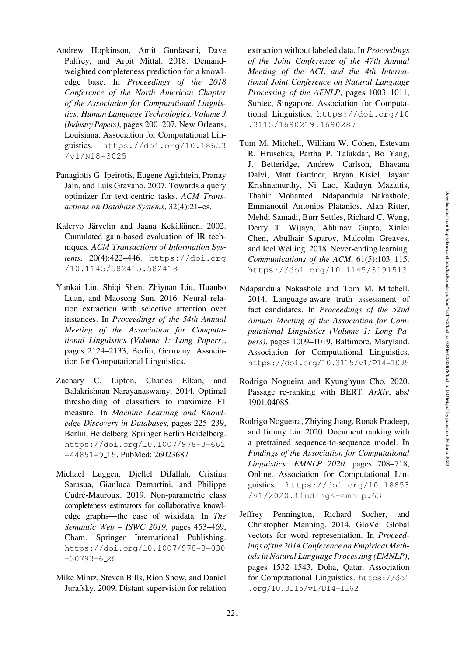- <span id="page-14-8"></span>Andrew Hopkinson, Amit Gurdasani, Dave Palfrey, and Arpit Mittal. 2018. Demandweighted completeness prediction for a knowledge base. In *Proceedings of the 2018 Conference of the North American Chapter of the Association for Computational Linguistics: Human Language Technologies, Volume 3 (Industry Papers)*, pages 200–207, New Orleans, Louisiana. Association for Computational Linguistics. [https://doi.org/10.18653](https://doi.org/10.18653/v1/N18-3025) [/v1/N18-3025](https://doi.org/10.18653/v1/N18-3025)
- <span id="page-14-6"></span>Panagiotis G. Ipeirotis, Eugene Agichtein, Pranay Jain, and Luis Gravano. 2007. Towards a query optimizer for text-centric tasks. *ACM Transactions on Database Systems*, 32(4):21–es.
- <span id="page-14-5"></span><span id="page-14-4"></span>Kalervo Järvelin and Jaana Kekäläinen. 2002. Cumulated gain-based evaluation of IR techniques. *ACM Transactions of Information Systems*, 20(4):422–446. [https://doi.org](https://doi.org/10.1145/582415.582418) [/10.1145/582415.582418](https://doi.org/10.1145/582415.582418)
- <span id="page-14-2"></span><span id="page-14-0"></span>Yankai Lin, Shiqi Shen, Zhiyuan Liu, Huanbo Luan, and Maosong Sun. 2016. Neural relation extraction with selective attention over instances. In *Proceedings of the 54th Annual Meeting of the Association for Computational Linguistics (Volume 1: Long Papers)*, pages 2124–2133, Berlin, Germany. Association for Computational Linguistics.
- <span id="page-14-14"></span>Zachary C. Lipton, Charles Elkan, and Balakrishnan Narayanaswamy. 2014. Optimal thresholding of classifiers to maximize F1 measure. In *Machine Learning and Knowledge Discovery in Databases*, pages 225–239, Berlin, Heidelberg. Springer Berlin Heidelberg. [https://doi.org/10.1007/978-3-662](https://doi.org/10.1007/978-3-662-44851-9_15) [-44851-9](https://doi.org/10.1007/978-3-662-44851-9_15) 15, PubMed: [26023687](https://pubmed.ncbi.nlm.nih.gov/26023687)
- <span id="page-14-10"></span><span id="page-14-9"></span>Michael Luggen, Djellel Difallah, Cristina Sarasua, Gianluca Demartini, and Philippe Cudré-Mauroux. 2019. Non-parametric class completeness estimators for collaborative knowledge graphs—the case of wikidata. In *The Semantic Web – ISWC 2019*, pages 453–469, Cham. Springer International Publishing. [https://doi.org/10.1007/978-3-030](https://doi.org/10.1007/978-3-030-30793-6_26)  $-30793-6.26$  $-30793-6.26$
- <span id="page-14-1"></span>Mike Mintz, Steven Bills, Rion Snow, and Daniel Jurafsky. 2009. Distant supervision for relation

extraction without labeled data. In *Proceedings of the Joint Conference of the 47th Annual Meeting of the ACL and the 4th International Joint Conference on Natural Language Processing of the AFNLP*, pages 1003–1011, Suntec, Singapore. Association for Computational Linguistics. [https://doi.org/10](https://doi.org/10.3115/1690219.1690287) [.3115/1690219.1690287](https://doi.org/10.3115/1690219.1690287)

- <span id="page-14-3"></span>Tom M. Mitchell, William W. Cohen, Estevam R. Hruschka, Partha P. Talukdar, Bo Yang, J. Betteridge, Andrew Carlson, Bhavana Dalvi, Matt Gardner, Bryan Kisiel, Jayant Krishnamurthy, Ni Lao, Kathryn Mazaitis, Thahir Mohamed, Ndapandula Nakashole, Emmanouil Antonios Platanios, Alan Ritter, Mehdi Samadi, Burr Settles, Richard C. Wang, Derry T. Wijaya, Abhinav Gupta, Xinlei Chen, Abulhair Saparov, Malcolm Greaves, and Joel Welling. 2018. Never-ending learning. *Communications of the ACM*, 61(5):103–115. <https://doi.org/10.1145/3191513>
- <span id="page-14-7"></span>Ndapandula Nakashole and Tom M. Mitchell. 2014. Language-aware truth assessment of fact candidates. In *Proceedings of the 52nd Annual Meeting of the Association for Computational Linguistics (Volume 1: Long Papers)*, pages 1009–1019, Baltimore, Maryland. Association for Computational Linguistics. <https://doi.org/10.3115/v1/P14-1095>
- <span id="page-14-11"></span>Rodrigo Nogueira and Kyunghyun Cho. 2020. Passage re-ranking with BERT. *ArXiv*, abs/ 1901.04085.
- <span id="page-14-12"></span>Rodrigo Nogueira, Zhiying Jiang, Ronak Pradeep, and Jimmy Lin. 2020. Document ranking with a pretrained sequence-to-sequence model. In *Findings of the Association for Computational Linguistics: EMNLP 2020*, pages 708–718, Online. Association for Computational Linguistics. [https://doi.org/10.18653](https://doi.org/10.18653/v1/2020.findings-emnlp.63) [/v1/2020.findings-emnlp.63](https://doi.org/10.18653/v1/2020.findings-emnlp.63)
- <span id="page-14-13"></span>Jeffrey Pennington, Richard Socher, and Christopher Manning. 2014. GloVe: Global vectors for word representation. In *Proceedings of the 2014 Conference on Empirical Methods in Natural Language Processing (EMNLP)*, pages 1532–1543, Doha, Qatar. Association for Computational Linguistics. [https://doi](https://doi.org/10.3115/v1/D14-1162) [.org/10.3115/v1/D14-1162](https://doi.org/10.3115/v1/D14-1162)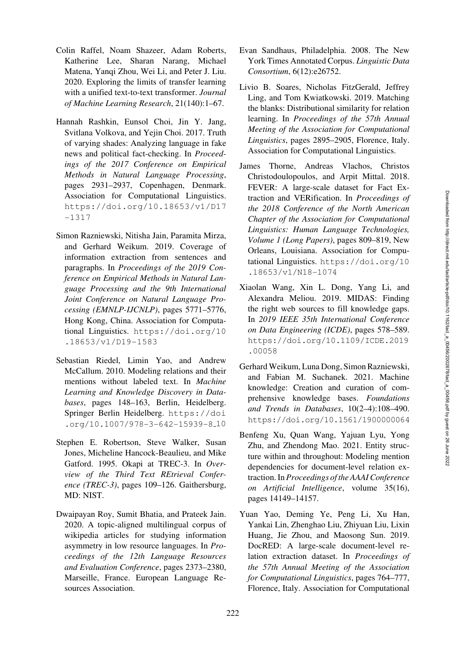- <span id="page-15-13"></span>Colin Raffel, Noam Shazeer, Adam Roberts, Katherine Lee, Sharan Narang, Michael Matena, Yanqi Zhou, Wei Li, and Peter J. Liu. 2020. Exploring the limits of transfer learning with a unified text-to-text transformer. *Journal of Machine Learning Research*, 21(140):1–67.
- <span id="page-15-7"></span>Hannah Rashkin, Eunsol Choi, Jin Y. Jang, Svitlana Volkova, and Yejin Choi. 2017. Truth of varying shades: Analyzing language in fake news and political fact-checking. In *Proceedings of the 2017 Conference on Empirical Methods in Natural Language Processing*, pages 2931–2937, Copenhagen, Denmark. Association for Computational Linguistics. [https://doi.org/10.18653/v1/D17](https://doi.org/10.18653/v1/D17-1317) [-1317](https://doi.org/10.18653/v1/D17-1317)
- <span id="page-15-6"></span>Simon Razniewski, Nitisha Jain, Paramita Mirza, and Gerhard Weikum. 2019. Coverage of information extraction from sentences and paragraphs. In *Proceedings of the 2019 Conference on Empirical Methods in Natural Language Processing and the 9th International Joint Conference on Natural Language Processing (EMNLP-IJCNLP)*, pages 5771–5776, Hong Kong, China. Association for Computational Linguistics. [https://doi.org/10](https://doi.org/10.18653/v1/D19-1583) [.18653/v1/D19-1583](https://doi.org/10.18653/v1/D19-1583)
- <span id="page-15-2"></span>Sebastian Riedel, Limin Yao, and Andrew McCallum. 2010. Modeling relations and their mentions without labeled text. In *Machine Learning and Knowledge Discovery in Databases*, pages 148–163, Berlin, Heidelberg. Springer Berlin Heidelberg. [https://doi](https://doi.org/10.1007/978-3-642-15939-8_10) [.org/10.1007/978-3-642-15939-8](https://doi.org/10.1007/978-3-642-15939-8_10) 10
- <span id="page-15-12"></span><span id="page-15-11"></span>Stephen E. Robertson, Steve Walker, Susan Jones, Micheline Hancock-Beaulieu, and Mike Gatford. 1995. Okapi at TREC-3. In *Overview of the Third Text REtrieval Conference (TREC-3)*, pages 109–126. Gaithersburg, MD: NIST.
- <span id="page-15-10"></span>Dwaipayan Roy, Sumit Bhatia, and Prateek Jain. 2020. A topic-aligned multilingual corpus of wikipedia articles for studying information asymmetry in low resource languages. In *Proceedings of the 12th Language Resources and Evaluation Conference*, pages 2373–2380, Marseille, France. European Language Resources Association.
- <span id="page-15-9"></span>Evan Sandhaus, Philadelphia. 2008. The New York Times Annotated Corpus. *Linguistic Data Consortium*, 6(12):e26752.
- <span id="page-15-0"></span>Livio B. Soares, Nicholas FitzGerald, Jeffrey Ling, and Tom Kwiatkowski. 2019. Matching the blanks: Distributional similarity for relation learning. In *Proceedings of the 57th Annual Meeting of the Association for Computational Linguistics*, pages 2895–2905, Florence, Italy. Association for Computational Linguistics.
- <span id="page-15-8"></span>James Thorne, Andreas Vlachos, Christos Christodoulopoulos, and Arpit Mittal. 2018. FEVER: A large-scale dataset for Fact Extraction and VERification. In *Proceedings of the 2018 Conference of the North American Chapter of the Association for Computational Linguistics: Human Language Technologies, Volume 1 (Long Papers)*, pages 809–819, New Orleans, Louisiana. Association for Computational Linguistics. [https://doi.org/10](https://doi.org/10.18653/v1/N18-1074) [.18653/v1/N18-1074](https://doi.org/10.18653/v1/N18-1074)
- <span id="page-15-5"></span>Xiaolan Wang, Xin L. Dong, Yang Li, and Alexandra Meliou. 2019. MIDAS: Finding the right web sources to fill knowledge gaps. In *2019 IEEE 35th International Conference on Data Engineering (ICDE)*, pages 578–589. [https://doi.org/10.1109/ICDE.2019](https://doi.org/10.1109/ICDE.2019.00058) [.00058](https://doi.org/10.1109/ICDE.2019.00058)
- <span id="page-15-4"></span><span id="page-15-3"></span>Gerhard Weikum, Luna Dong, Simon Razniewski, and Fabian M. Suchanek. 2021. Machine knowledge: Creation and curation of comprehensive knowledge bases. *Foundations and Trends in Databases*, 10(2–4):108–490. <https://doi.org/10.1561/1900000064>
- <span id="page-15-15"></span>Benfeng Xu, Quan Wang, Yajuan Lyu, Yong Zhu, and Zhendong Mao. 2021. Entity structure within and throughout: Modeling mention dependencies for document-level relation extraction. In *Proceedings of the AAAI Conference on Artificial Intelligence*, volume 35(16), pages 14149–14157.
- <span id="page-15-14"></span><span id="page-15-1"></span>Yuan Yao, Deming Ye, Peng Li, Xu Han, Yankai Lin, Zhenghao Liu, Zhiyuan Liu, Lixin Huang, Jie Zhou, and Maosong Sun. 2019. DocRED: A large-scale document-level relation extraction dataset. In *Proceedings of the 57th Annual Meeting of the Association for Computational Linguistics*, pages 764–777, Florence, Italy. Association for Computational